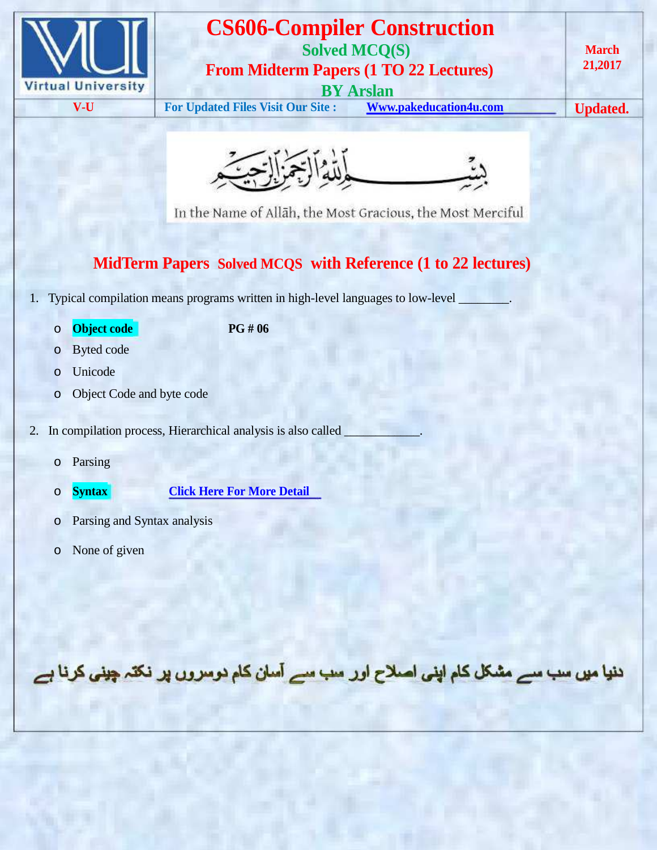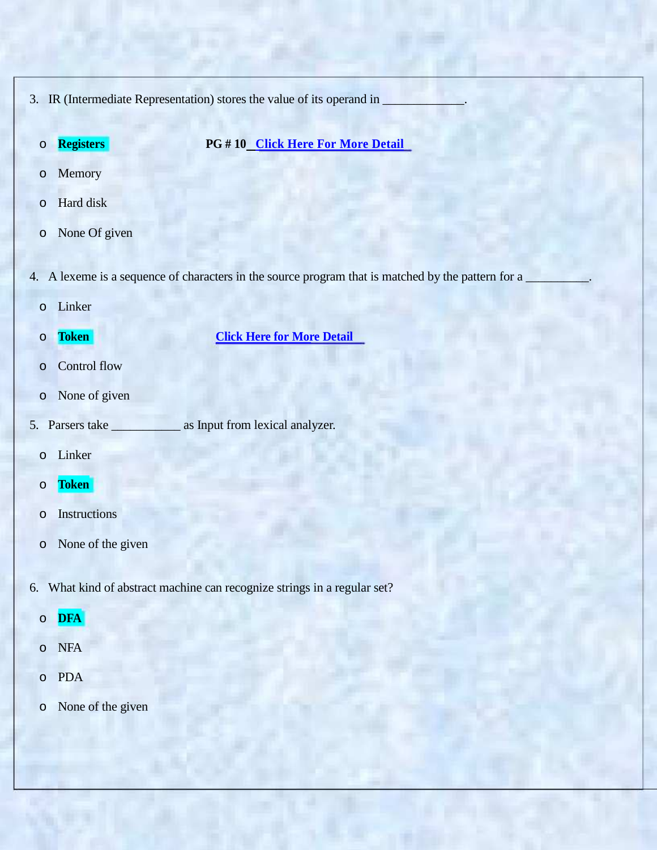- 3. IR (Intermediate Representation) stores the value of its operand in
	-

o **Registers PG # 10 Click Here For More Detail**

- o Memory
- o Hard disk
- o None Of given
- 4. A lexeme is a sequence of characters in the source program that is matched by the pattern for a
	- o Linker
	-

o **Token Click Here for More Detail**

- o Control flow
- o None of given
- 5. Parsers take \_\_\_\_\_\_\_\_\_\_\_\_ as Input from lexical analyzer.
	- o Linker
	- o **Token**
	- o Instructions
	- o None of the given
- 6. What kind of abstract machine can recognize strings in a regular set?
	- o **DFA**
	- o NFA
	- o PDA
	- o None of the given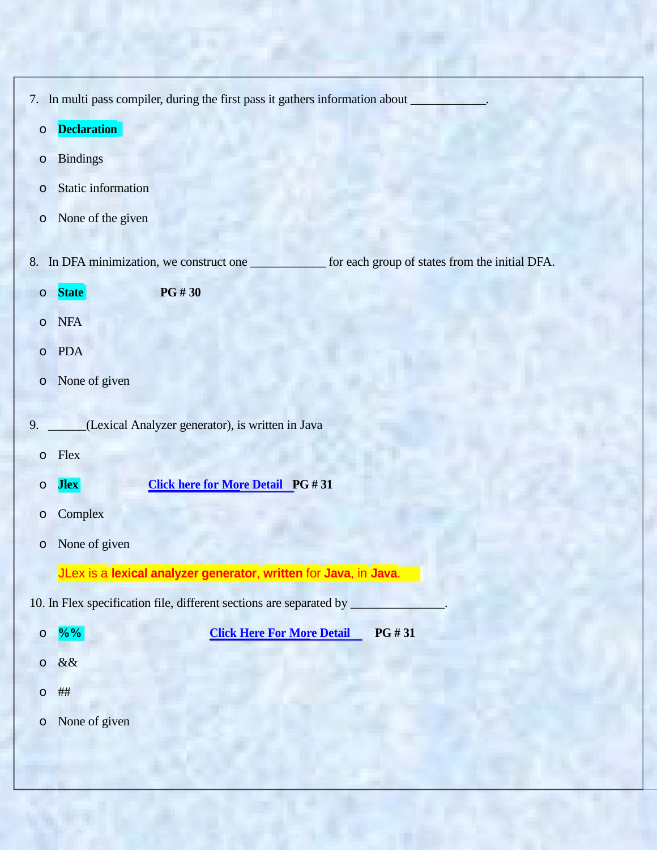- 7. In multi pass compiler, during the first pass it gathers information about
	- o **Declaration**
	- o Bindings
	- o Static information
	- o None of the given
- 8. In DFA minimization, we construct one \_\_\_\_\_\_\_\_\_\_\_\_ for each group of states from the initial DFA.
	- o **State PG # 30**
	- o NFA
	- o PDA
	- o None of given
- 9. \_\_\_\_\_\_(Lexical Analyzer generator), is written in Java
	- o Flex
	- o **Jlex Click here for More Detail PG # 31**
	- o Complex
	- o None of given

JLex is a **lexical analyzer generator**, **written** for **Java**, in **Java**.

10. In Flex specification file, different sections are separated by \_

| $\circ$ | $\frac{9}{0}$ % | <b>Click Here For More Detail</b> | <b>PG#31</b> |
|---------|-----------------|-----------------------------------|--------------|
| $\circ$ | &&              |                                   |              |
|         | ##              |                                   |              |

o None of given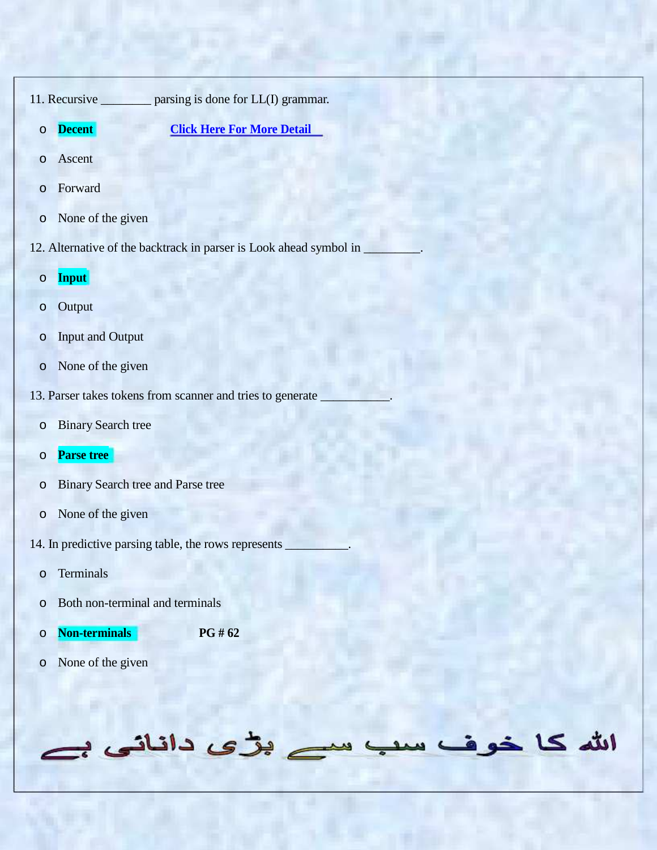11. Recursive \_\_\_\_\_\_\_\_ parsing is done for LL(I) grammar.

- o **Decent Click Here For More Detail**
- o Ascent
- o Forward
- o None of the given
- 12. Alternative of the backtrack in parser is Look ahead symbol in
	- o **Input**
	- o Output
	- o Input and Output
	- o None of the given
- 13. Parser takes tokens from scanner and tries to generate
	- o Binary Search tree
	- o **Parse tree**
	- o Binary Search tree and Parse tree
	- o None of the given
- 14. In predictive parsing table, the rows represents

ے بڑی دانانی ہے

سد

الله كا خو ف

- o Terminals
- o Both non-terminal and terminals
- o **Non-terminals PG # 62**
- o None of the given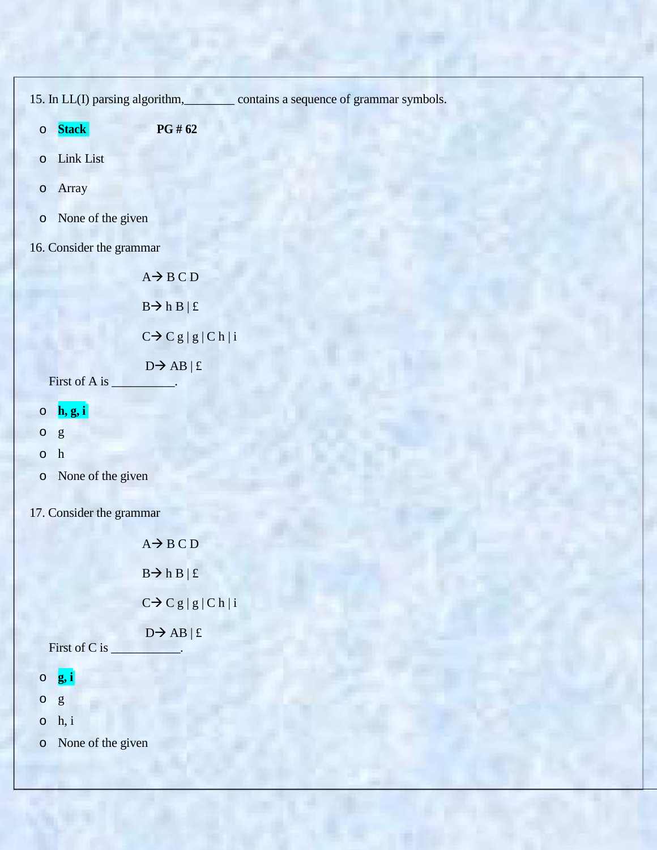15. In LL(I) parsing algorithm, contains a sequence of grammar symbols.

- o **Stack PG # 62**
- o Link List
- o Array
- o None of the given
- 16. Consider the grammar

 $A \rightarrow B C D$  $B \rightarrow h B | f$  $C \rightarrow C g | g | C h | i$  $D \rightarrow AB \mid f$ First of A is \_\_\_\_\_\_\_\_\_\_.

- o **h, g, i**
- o g
- o h
- o None of the given
- 17. Consider the grammar

|                     | $A \rightarrow B \cap D$         |
|---------------------|----------------------------------|
|                     | $B \rightarrow h B \mid \pounds$ |
|                     | $C \rightarrow C g  g  C h  i$   |
| First of C is       | $D \rightarrow AB \mid \pounds$  |
| $\circ$ g, i        |                                  |
| $\circ$ g           |                                  |
| $\circ$ h, i        |                                  |
| o None of the given |                                  |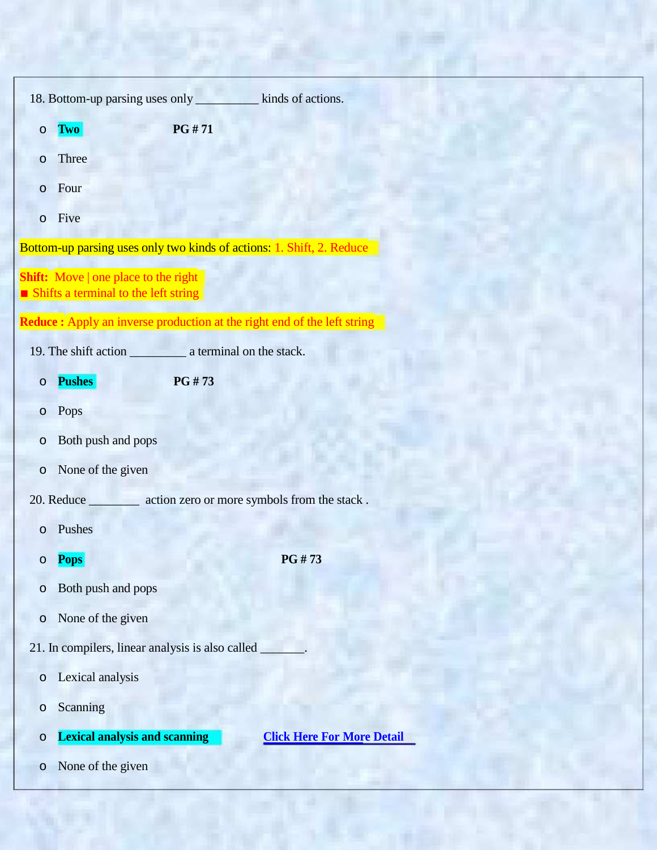| $\circ$ | <b>Two</b>                                                                          | PG #71 |                                   |  |  |
|---------|-------------------------------------------------------------------------------------|--------|-----------------------------------|--|--|
| $\circ$ | Three                                                                               |        |                                   |  |  |
| $\circ$ | Four                                                                                |        |                                   |  |  |
| $\circ$ | Five                                                                                |        |                                   |  |  |
|         | Bottom-up parsing uses only two kinds of actions: 1. Shift, 2. Reduce               |        |                                   |  |  |
|         | <b>Shift:</b> Move   one place to the right<br>Shifts a terminal to the left string |        |                                   |  |  |
|         | <b>Reduce :</b> Apply an inverse production at the right end of the left string     |        |                                   |  |  |
|         |                                                                                     |        |                                   |  |  |
| $\circ$ | <b>Pushes</b>                                                                       | PG #73 |                                   |  |  |
| O       | Pops                                                                                |        |                                   |  |  |
| O       | Both push and pops                                                                  |        |                                   |  |  |
| $\circ$ | None of the given                                                                   |        |                                   |  |  |
|         | 20. Reduce ___________ action zero or more symbols from the stack.                  |        |                                   |  |  |
| $\circ$ | Pushes                                                                              |        |                                   |  |  |
| O       | <b>Pops</b>                                                                         |        | PG #73                            |  |  |
| $\circ$ | Both push and pops                                                                  |        |                                   |  |  |
| $\circ$ | None of the given                                                                   |        |                                   |  |  |
|         | 21. In compilers, linear analysis is also called                                    |        |                                   |  |  |
| $\circ$ | Lexical analysis                                                                    |        |                                   |  |  |
| $\circ$ | Scanning                                                                            |        |                                   |  |  |
| $\circ$ | <b>Lexical analysis and scanning</b>                                                |        | <b>Click Here For More Detail</b> |  |  |
| $\circ$ | None of the given                                                                   |        |                                   |  |  |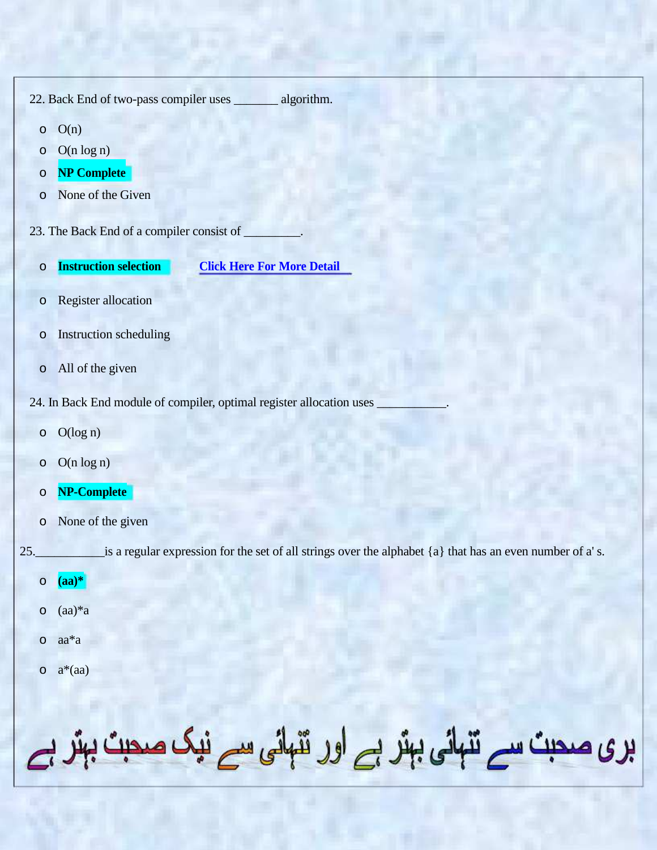|              | 22. Back End of two-pass compiler uses _______ algorithm.                                                |
|--------------|----------------------------------------------------------------------------------------------------------|
| $\circ$      | O(n)                                                                                                     |
| O            | $O(n \log n)$                                                                                            |
| O<br>$\circ$ | <b>NP Complete</b><br>None of the Given                                                                  |
|              |                                                                                                          |
|              | 23. The Back End of a compiler consist of                                                                |
| $\circ$      | <b>Instruction selection</b><br><b>Click Here For More Detail</b>                                        |
| $\circ$      | Register allocation                                                                                      |
| $\circ$      | Instruction scheduling                                                                                   |
| $\circ$      | All of the given                                                                                         |
|              | 24. In Back End module of compiler, optimal register allocation uses                                     |
| $\circ$      | O(log n)                                                                                                 |
| O            | $O(n \log n)$                                                                                            |
| O            | NP-Complete                                                                                              |
| O            | None of the given                                                                                        |
| 25.          | is a regular expression for the set of all strings over the alphabet {a} that has an even number of a's. |
|              | $\circ$ $(aa)^*$                                                                                         |
| $\circ$      | $(aa)*a$                                                                                                 |
| $\circ$      | $aa^*a$                                                                                                  |
|              | $o \quad a^*(aa)$                                                                                        |
|              |                                                                                                          |
|              |                                                                                                          |
|              | بری صحبت سے تنہائی بہتر ہے اور تنہائی سے نیک صحبت بہتر ہے                                                |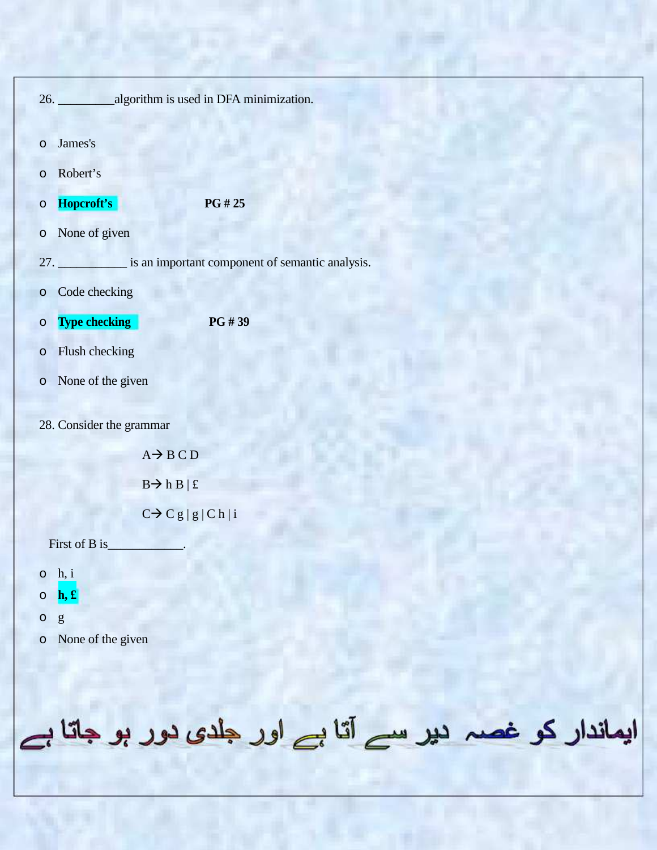| 26. _______________algorithm is used in DFA minimization.                                                                                                                                                                                                                                                                                                                                                                                                                 |                                                     |
|---------------------------------------------------------------------------------------------------------------------------------------------------------------------------------------------------------------------------------------------------------------------------------------------------------------------------------------------------------------------------------------------------------------------------------------------------------------------------|-----------------------------------------------------|
| James's<br>$\circ$                                                                                                                                                                                                                                                                                                                                                                                                                                                        |                                                     |
| Robert's<br>$\circ$                                                                                                                                                                                                                                                                                                                                                                                                                                                       |                                                     |
| Hopcroft's<br>$\circ$                                                                                                                                                                                                                                                                                                                                                                                                                                                     | PG # 25                                             |
| None of given<br>$\circ$                                                                                                                                                                                                                                                                                                                                                                                                                                                  |                                                     |
|                                                                                                                                                                                                                                                                                                                                                                                                                                                                           | 27. is an important component of semantic analysis. |
| Code checking<br>$\circ$                                                                                                                                                                                                                                                                                                                                                                                                                                                  |                                                     |
| <b>Type checking</b><br>$\circ$                                                                                                                                                                                                                                                                                                                                                                                                                                           | PG #39                                              |
| Flush checking<br>$\circ$                                                                                                                                                                                                                                                                                                                                                                                                                                                 |                                                     |
| None of the given<br>$\circ$                                                                                                                                                                                                                                                                                                                                                                                                                                              |                                                     |
| 28. Consider the grammar                                                                                                                                                                                                                                                                                                                                                                                                                                                  |                                                     |
| $A \rightarrow B C D$                                                                                                                                                                                                                                                                                                                                                                                                                                                     |                                                     |
| $B \rightarrow h B \mid f$                                                                                                                                                                                                                                                                                                                                                                                                                                                |                                                     |
| $C \rightarrow C g  g  C h  i$                                                                                                                                                                                                                                                                                                                                                                                                                                            |                                                     |
| First of B is                                                                                                                                                                                                                                                                                                                                                                                                                                                             |                                                     |
| $\circ$ h, i                                                                                                                                                                                                                                                                                                                                                                                                                                                              |                                                     |
| $\left[\mathbf{h}, \mathbf{f}\right]$<br>$\circ$                                                                                                                                                                                                                                                                                                                                                                                                                          |                                                     |
| $\circ$<br>$\mathbf{g}% _{T}=\mathbf{g}_{T}=\mathbf{g}_{T}=\mathbf{g}_{T}=\mathbf{g}_{T}=\mathbf{g}_{T}=\mathbf{g}_{T}=\mathbf{g}_{T}=\mathbf{g}_{T}=\mathbf{g}_{T}=\mathbf{g}_{T}=\mathbf{g}_{T}=\mathbf{g}_{T}=\mathbf{g}_{T}=\mathbf{g}_{T}=\mathbf{g}_{T}=\mathbf{g}_{T}=\mathbf{g}_{T}=\mathbf{g}_{T}=\mathbf{g}_{T}=\mathbf{g}_{T}=\mathbf{g}_{T}=\mathbf{g}_{T}=\mathbf{g}_{T}=\mathbf{g}_{T}=\mathbf{g}_{T}=\mathbf{g}_{T}=\math$<br>None of the given<br>$\circ$ |                                                     |

ایماندار کو غصہ دیر سے آتا ہے اور جلدی دور ہو جاتا ہے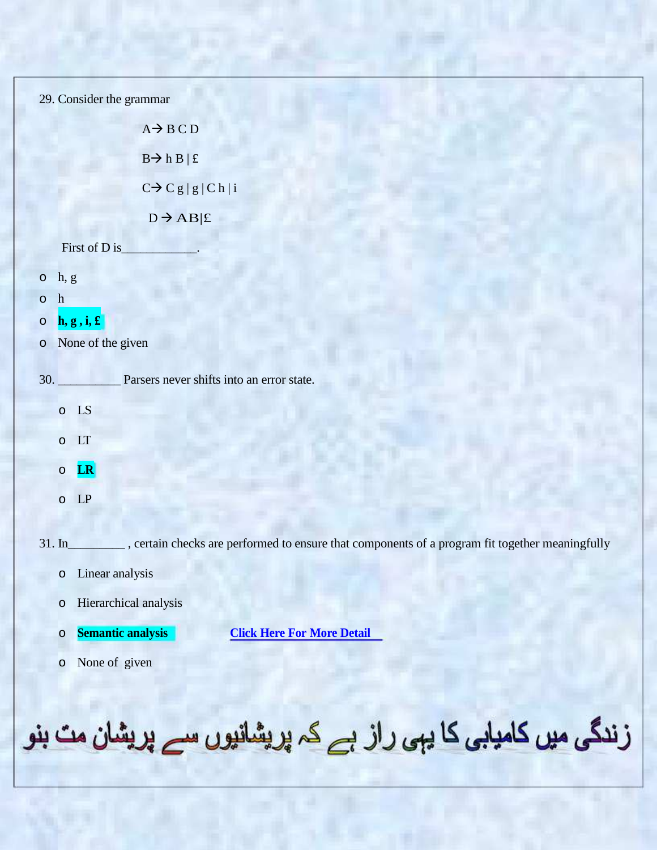| 29. Consider the grammar                                                                                     |  |  |  |  |
|--------------------------------------------------------------------------------------------------------------|--|--|--|--|
| $A \rightarrow B C D$                                                                                        |  |  |  |  |
| $B \rightarrow h B \mid f$                                                                                   |  |  |  |  |
| $C \rightarrow C g  g  C h  i$                                                                               |  |  |  |  |
| $\texttt{D}\!\to\!{\bf AB} \pounds$                                                                          |  |  |  |  |
| First of D is_                                                                                               |  |  |  |  |
| $o$ h, $g$                                                                                                   |  |  |  |  |
| h<br>$\circ$                                                                                                 |  |  |  |  |
| $\left[\mathbf{h}, \mathbf{g}, \mathbf{i}, \mathbf{f}\right]$<br>$\circ$<br>o None of the given              |  |  |  |  |
|                                                                                                              |  |  |  |  |
| Parsers never shifts into an error state.<br>30.                                                             |  |  |  |  |
| $\circ$ LS                                                                                                   |  |  |  |  |
| LT<br>$\circ$                                                                                                |  |  |  |  |
| LR<br>$\circ$                                                                                                |  |  |  |  |
| LP<br>$\circ$                                                                                                |  |  |  |  |
|                                                                                                              |  |  |  |  |
| $31.$ In<br>_, certain checks are performed to ensure that components of a program fit together meaningfully |  |  |  |  |
| Linear analysis<br>$\circ$                                                                                   |  |  |  |  |
| Hierarchical analysis<br>$\circ$                                                                             |  |  |  |  |
| <b>Semantic analysis</b><br><b>Click Here For More Detail</b><br>$\circ$                                     |  |  |  |  |
| None of given<br>$\circ$                                                                                     |  |  |  |  |
|                                                                                                              |  |  |  |  |
|                                                                                                              |  |  |  |  |
| زندگی میں کامیابی کا یہی راز ہے کہ پریشانیوں سے پریش<br>ان مٽ بنو                                            |  |  |  |  |

ÿ.

**FLETTE** 

S.

**Pärt**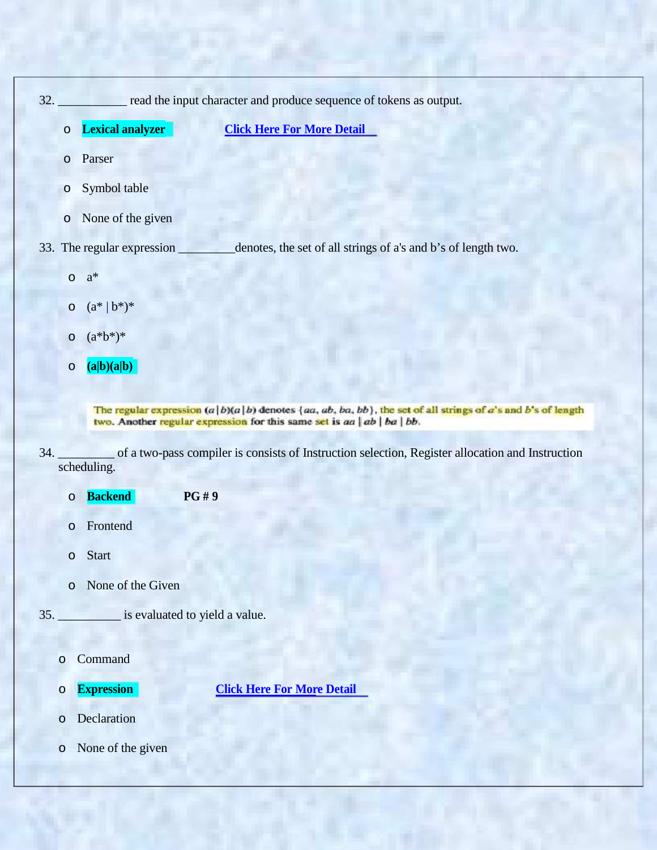|         |                            | 32. read the input character and produce sequence of tokens as output. |
|---------|----------------------------|------------------------------------------------------------------------|
| $\circ$ | Lexical analyzer           | <b>Click Here For More Detail</b>                                      |
| $\circ$ | Parser                     |                                                                        |
| $\circ$ | Symbol table               |                                                                        |
| $\circ$ | None of the given          |                                                                        |
|         | 33. The regular expression | denotes, the set of all strings of a's and b's of length two.          |
| $\circ$ | $a^*$                      |                                                                        |
|         | $o \ (a^*   b^*)^*$        |                                                                        |
| $\circ$ | $(a * b*)^*$               |                                                                        |
| $\circ$ | (a b)(a b)                 |                                                                        |

The regular expression  $(a|b)(a|b)$  denotes  $\{aa, ab, ba, bb\}$ , the set of all strings of a's and b's of length two. Another regular expression for this same set is  $aa | ab | ba | bb$ .

- 34. \_\_\_\_\_\_\_\_\_ of a two-pass compiler is consists of Instruction selection, Register allocation and Instruction scheduling.
	- o **Backend PG # 9**
	- o Frontend
	- o Start
	- o None of the Given
- 35. \_\_\_\_\_\_\_\_\_\_ is evaluated to yield a value.
	- o Command
	-

o **Expression Click Here For More Detail**

- o Declaration
- o None of the given